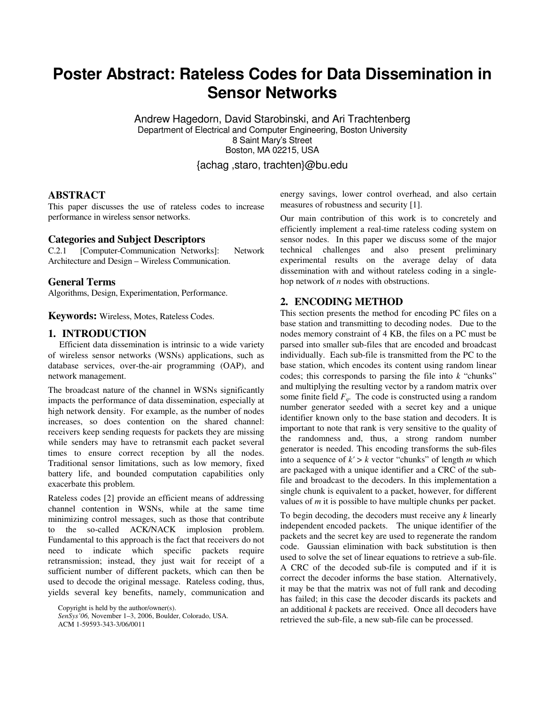# **Poster Abstract: Rateless Codes for Data Dissemination in Sensor Networks**

Andrew Hagedorn, David Starobinski, and Ari Trachtenberg Department of Electrical and Computer Engineering, Boston University 8 Saint Mary's Street Boston, MA 02215, USA {achag ,staro, trachten}@bu.edu

**ABSTRACT** 

This paper discusses the use of rateless codes to increase performance in wireless sensor networks.

# **Categories and Subject Descriptors**

C.2.1 [Computer-Communication Networks]: Network Architecture and Design – Wireless Communication.

# **General Terms**

Algorithms, Design, Experimentation, Performance.

**Keywords:** Wireless, Motes, Rateless Codes.

# **1. INTRODUCTION**

 Efficient data dissemination is intrinsic to a wide variety of wireless sensor networks (WSNs) applications, such as database services, over-the-air programming (OAP), and network management.

The broadcast nature of the channel in WSNs significantly impacts the performance of data dissemination, especially at high network density. For example, as the number of nodes increases, so does contention on the shared channel: receivers keep sending requests for packets they are missing while senders may have to retransmit each packet several times to ensure correct reception by all the nodes. Traditional sensor limitations, such as low memory, fixed battery life, and bounded computation capabilities only exacerbate this problem.

Rateless codes [2] provide an efficient means of addressing channel contention in WSNs, while at the same time minimizing control messages, such as those that contribute to the so-called ACK/NACK implosion problem. Fundamental to this approach is the fact that receivers do not need to indicate which specific packets require retransmission; instead, they just wait for receipt of a sufficient number of different packets, which can then be used to decode the original message. Rateless coding, thus, yields several key benefits, namely, communication and

*SenSys'06,* November 1–3, 2006, Boulder, Colorado, USA.

ACM 1-59593-343-3/06/0011

energy savings, lower control overhead, and also certain measures of robustness and security [1].

Our main contribution of this work is to concretely and efficiently implement a real-time rateless coding system on sensor nodes. In this paper we discuss some of the major technical challenges and also present preliminary experimental results on the average delay of data dissemination with and without rateless coding in a singlehop network of *n* nodes with obstructions.

# **2. ENCODING METHOD**

This section presents the method for encoding PC files on a base station and transmitting to decoding nodes. Due to the nodes memory constraint of 4 KB, the files on a PC must be parsed into smaller sub-files that are encoded and broadcast individually. Each sub-file is transmitted from the PC to the base station, which encodes its content using random linear codes; this corresponds to parsing the file into *k* "chunks" and multiplying the resulting vector by a random matrix over some finite field *Fq*. The code is constructed using a random number generator seeded with a secret key and a unique identifier known only to the base station and decoders. It is important to note that rank is very sensitive to the quality of the randomness and, thus, a strong random number generator is needed. This encoding transforms the sub-files into a sequence of  $k' > k$  vector "chunks" of length *m* which are packaged with a unique identifier and a CRC of the subfile and broadcast to the decoders. In this implementation a single chunk is equivalent to a packet, however, for different values of *m* it is possible to have multiple chunks per packet.

To begin decoding, the decoders must receive any *k* linearly independent encoded packets. The unique identifier of the packets and the secret key are used to regenerate the random code. Gaussian elimination with back substitution is then used to solve the set of linear equations to retrieve a sub-file. A CRC of the decoded sub-file is computed and if it is correct the decoder informs the base station. Alternatively, it may be that the matrix was not of full rank and decoding has failed; in this case the decoder discards its packets and an additional *k* packets are received. Once all decoders have retrieved the sub-file, a new sub-file can be processed.

Copyright is held by the author/owner(s).